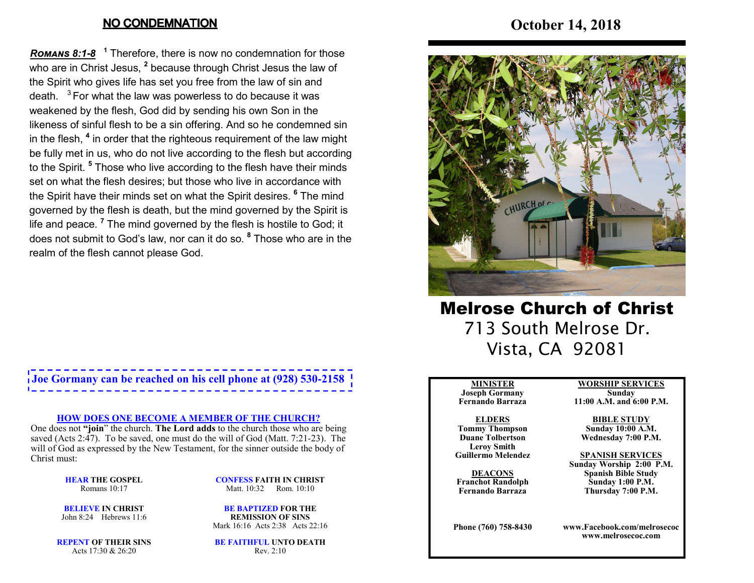### **NO CONDEMNATION**

**Romans 8:1-8** <sup>1</sup> Therefore, there is now no condemnation for those who are in Christ Jesus, **<sup>2</sup>** because through Christ Jesus the law of the Spirit who gives life has set you free from the law of sin and death.  $3$  For what the law was powerless to do because it was weakened by the flesh, God did by sending his own Son in the likeness of sinful flesh to be a sin offering. And so he condemned sin in the flesh, **<sup>4</sup>** in order that the righteous requirement of the law might be fully met in us, who do not live according to the flesh but according to the Spirit. **<sup>5</sup>** Those who live according to the flesh have their minds set on what the flesh desires; but those who live in accordance with the Spirit have their minds set on what the Spirit desires. **<sup>6</sup>** The mind governed by the flesh is death, but the mind governed by the Spirit is life and peace. **<sup>7</sup>** The mind governed by the flesh is hostile to God; it does not submit to God's law, nor can it do so. **<sup>8</sup>** Those who are in the realm of the flesh cannot please God.

# **Joe Gormany can be reached on his cell phone at (928) 530-2158**

#### **HOW DOES ONE BECOME A MEMBER OF THE CHURCH?**

 One does not **"join**" the church. **The Lord adds** to the church those who are being saved (Acts 2:47). To be saved, one must do the will of God (Matt. 7:21-23). The will of God as expressed by the New Testament, for the sinner outside the body of Christ must:

> **HEAR THE GOSPEL**Romans 10:17

**CONFESS FAITH IN CHRIST**Matt. 10:32 Rom. 10:10

**BELIEVE IN CHRIST**John 8:24 Hebrews 11:6

**BE BAPTIZED FOR THE REMISSION OF SINS**Mark 16:16 Acts 2:38 Acts 22:16

**REPENT OF THEIR SINS**Acts 17:30 & 26:20

**BE FAITHFUL UNTO DEATH**Rev. 2:10

# **October 14, 2018**



Melrose Church of Christ 713 South Melrose Dr. Vista, CA 92081

#### **MINISTER**

 **Joseph Gormany Fernando Barraza**

#### **ELDERS Tommy Thompson Duane Tolbertson**

**Leroy SmithGuillermo Melendez** 

**DEACONS Franchot RandolphFernando Barraza**

**Phone (760) 758-8430**

**WORSHIP SERVICESSunday** 

**11:00 A.M. and 6:00 P.M.**

#### **BIBLE STUDY**

 **Sunday 10:00 A.M.Wednesday 7:00 P.M.**

#### **SPANISH SERVICES**

 **Sunday Worship 2:00 P.M.Spanish Bible Study Sunday 1:00 P.M.Thursday 7:00 P.M.**

**www.Facebook.com/melrosecocwww.melrosecoc.com**